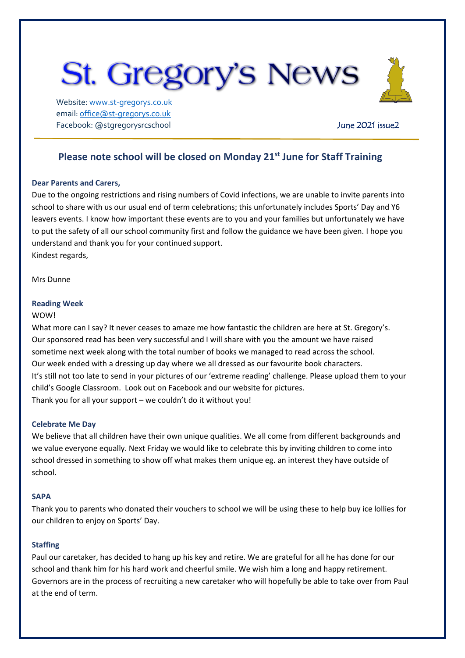# **St. Gregory's News**

Website[: www.st-gregorys.co.uk](http://www.st-gregorys.co.uk/) email[: office@st-gregorys.co.uk](mailto:office@st-gregorys.co.uk) Facebook: @stgregorysrcschool and a state of the United States of the United States and Automatic June 2021 issue 2

## **Please note school will be closed on Monday 21st June for Staff Training**

### **Dear Parents and Carers,**

Due to the ongoing restrictions and rising numbers of Covid infections, we are unable to invite parents into school to share with us our usual end of term celebrations; this unfortunately includes Sports' Day and Y6 leavers events. I know how important these events are to you and your families but unfortunately we have to put the safety of all our school community first and follow the guidance we have been given. I hope you understand and thank you for your continued support. Kindest regards,

Mrs Dunne

#### **Reading Week**

#### WOW!

What more can I say? It never ceases to amaze me how fantastic the children are here at St. Gregory's. Our sponsored read has been very successful and I will share with you the amount we have raised sometime next week along with the total number of books we managed to read across the school. Our week ended with a dressing up day where we all dressed as our favourite book characters. It's still not too late to send in your pictures of our 'extreme reading' challenge. Please upload them to your child's Google Classroom. Look out on Facebook and our website for pictures. Thank you for all your support – we couldn't do it without you!

### **Celebrate Me Day**

We believe that all children have their own unique qualities. We all come from different backgrounds and we value everyone equally. Next Friday we would like to celebrate this by inviting children to come into school dressed in something to show off what makes them unique eg. an interest they have outside of school.

#### **SAPA**

Thank you to parents who donated their vouchers to school we will be using these to help buy ice lollies for our children to enjoy on Sports' Day.

#### **Staffing**

Paul our caretaker, has decided to hang up his key and retire. We are grateful for all he has done for our school and thank him for his hard work and cheerful smile. We wish him a long and happy retirement. Governors are in the process of recruiting a new caretaker who will hopefully be able to take over from Paul at the end of term.